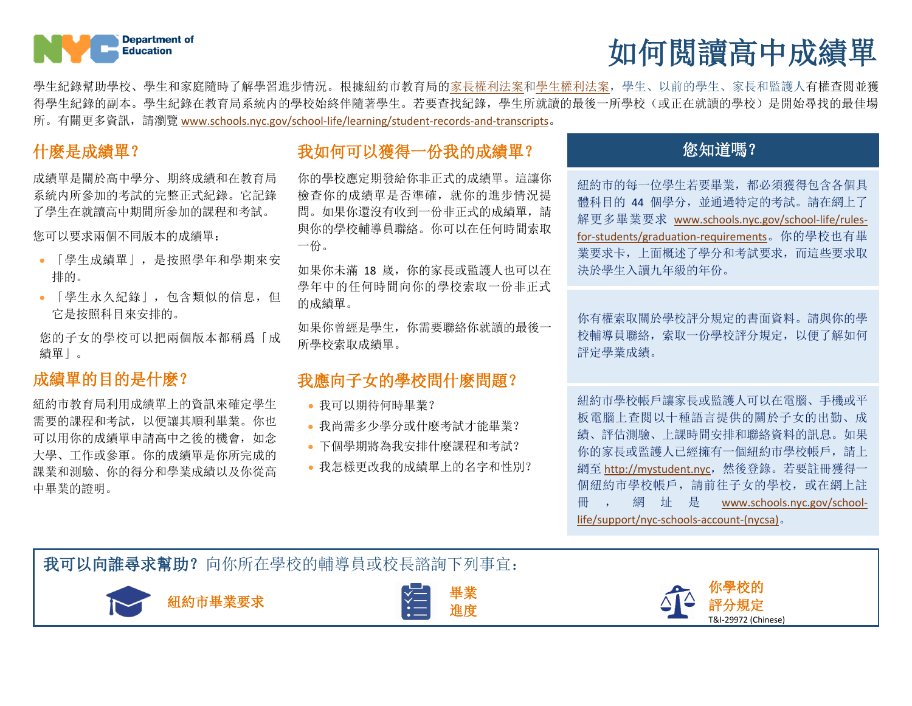

# 如何閲讀高中成績單

學生紀錄幫助學校、學生和家庭隨時了解學習進步情況。根據紐約市教育局[的家長權利法案](https://www.schools.nyc.gov/school-life/policies-for-all/parents-bill-of-rights)[和學生權利法案,](https://www.schools.nyc.gov/school-life/rules-for-students/discipline-code)學生、以前的學生、家長和監護人有權查閲並獲 得學生紀錄的副本。學生紀錄在教育局系統内的學校始終伴隨著學生。若要查找紀錄,學生所就讀的最後一所學校(或正在就讀的學校)是開始尋找的最佳場 所。有關更多資訊,請瀏覽 [www.schools.nyc.gov/school-life/learning/student-records-and-transcripts](https://www.schools.nyc.gov/school-life/learning/student-records-and-transcripts)。

成績單是關於高中學分、期終成績和在教育局 系統内所參加的考試的完整正式紀錄。它記錄 了學生在就讀高中期間所參加的課程和考試。

您可以要求兩個不同版本的成績單:

- 「學生成績單」,是按照學年和學期來安 排的。
- 「學生永久紀錄」,包含類似的信息,但 它是按照科目來安排的。

您的子女的學校可以把兩個版本都稱爲「成 績單」。

### 成績單的目的是什麽?

紐約市教育局利用成績單上的資訊來確定學生 需要的課程和考試,以便讓其順利畢業。你也 可以用你的成績單申請高中之後的機會,如念 大學、工作或參軍。你的成績單是你所完成的 課業和測驗、你的得分和學業成績以及你從高 中畢業的證明。

## 什麽是成績單? 不可以在一个可以獲得一份我的成績單? 我想要做什么? 你知道嗎?

你的學校應定期發給你非正式的成績單。這讓你 檢查你的成績單是否準確,就你的進步情況提 問。如果你還沒有收到一份非正式的成績單,請 與你的學校輔導員聯絡。你可以在任何時間索取 一份。

如果你未滿 18 嵗,你的家長或監護人也可以在 學年中的任何時間向你的學校索取一份非正式 的成績單。

如果你曾經是學生,你需要聯絡你就讀的最後一 所學校索取成績單。

### 我應向子女的學校問什麽問題?

- 我可以期待何時畢業?
- 我尚需多少學分或什麽考試才能畢業?
- 下個學期將為我安排什麽課程和考試?
- 我怎樣更改我的成績單上的名字和性別?

紐約市的每一位學生若要畢業,都必須獲得包含各個具 體科目的 44 個學分,並通過特定的考試。請在網上了 解更多畢業要求 [www.schools.nyc.gov/school-life/rules](https://www.schools.nyc.gov/school-life/rules-for-students/graduation-requirements)[for-students/graduation-requirements](https://www.schools.nyc.gov/school-life/rules-for-students/graduation-requirements)。你的學校也有畢 業要求卡,上面概述了學分和考試要求,而這些要求取 決於學生入讀九年級的年份。

你有權索取關於學校評分規定的書面資料。請與你的學 校輔導員聯絡,索取一份學校評分規定,以便了解如何 評定學業成績。

紐約市學校帳戶讓家長或監護人可以在電腦、手機或平 板電腦上查閲以十種語言提供的關於子女的出勤、成 績、評估測驗、上課時間安排和聯絡資料的訊息。如果 你的家長或監護人已經擁有一個紐約市學校帳戶,請上 網至 [http://mystudent.nyc](http://mystudent.nyc/),然後登錄。若要註冊獲得一 個紐約市學校帳戶,請前往子女的學校,或在網上註 冊 , 網 址 是 [www.schools.nyc.gov/school](http://www.schools.nyc.gov/school-life/support/nyc-schools-account-(nycsa))[life/support/nyc-schools-account-\(nycsa\)](http://www.schools.nyc.gov/school-life/support/nyc-schools-account-(nycsa))。

我可以向誰尋求幫助?向你所在學校的輔導員或校長諮詢下列事宜:





進度